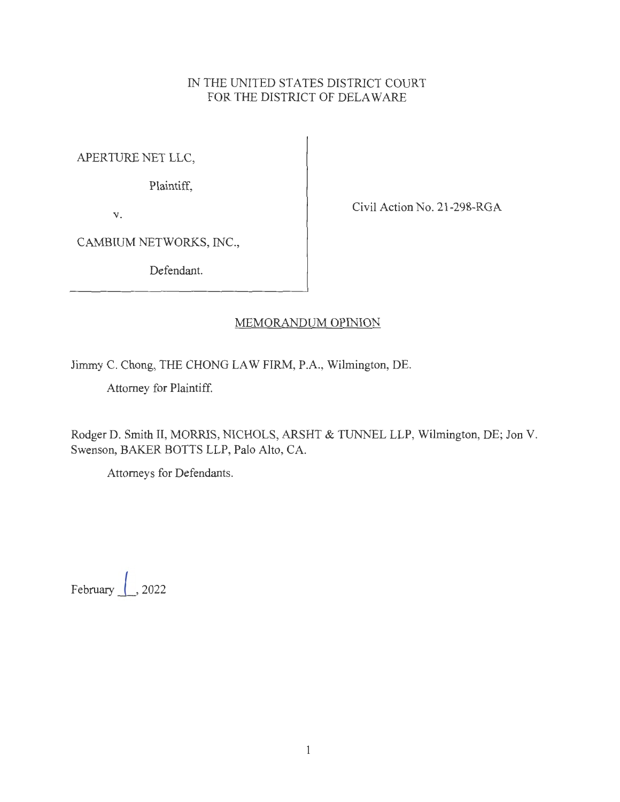## IN THE UNITED STATES DISTRICT COURT FOR THE DISTRICT OF DELAWARE

APERTURE NET LLC,

Plaintiff,

V.

Civil Action No. 21-298-RGA

CAMBIUM NETWORKS, INC.,

Defendant.

## MEMORANDUM OPINION

Jimmy C. Chong, THE CHONG LAW FIRM, P.A., Wilmington, DE.

Attorney for Plaintiff.

Rodger D. Smith II, MORRIS, NICHOLS, ARSHT & TUNNEL LLP, Wilmington, DE; Jon V. Swenson, BAKER BOTTS LLP, Palo Alto, CA.

Attorneys for Defendants.

February *l ,* <sup>2022</sup>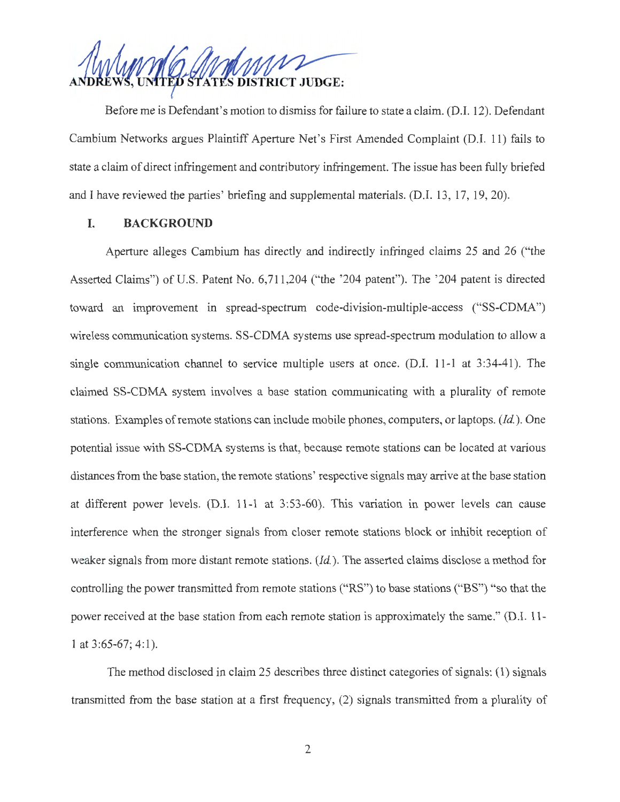UNITED STATES DISTRICT JUDGE:

Before me is Defendant's motion to dismiss for failure to state a claim. (D.I. 12). Defendant Cambium Networks argues Plaintiff Aperture Net's First Amended Complaint (D.I. 11) fails to state a claim of direct infringement and contributory infringement. The issue has been fully briefed and I have reviewed the parties' briefing and supplemental materials. (D.I. 13, 17, 19, 20).

### **I. BACKGROUND**

Aperture alleges Cambium has directly and indirectly infringed claims 25 and 26 ("the Asserted Claims") of U.S. Patent No. 6,711,204 ("the '204 patent"). The '204 patent is directed toward an improvement in spread-spectrum code-division-multiple-access ("SS-CDMA") wireless communication systems. SS-CDMA systems use spread-spectrum modulation to allow a single communication channel to service multiple users at once. (D.I. 11-1 at 3:34-41). The claimed SS-CDMA system involves a base station communicating with a plurality of remote stations. Examples of remote stations can include mobile phones, computers, or laptops. *(Id.).* One potential issue with SS-CDMA systems is that, because remote stations can be located at various distances from the base station, the remote stations' respective signals may arrive at the base station at different power levels. (D.I. 11-1 at 3:53-60). This variation in power levels can cause interference when the stronger signals from closer remote stations block or inhibit reception of weaker signals from more distant remote stations. *(Id.).* The asserted claims disclose a method for controlling the power transmitted from remote stations ("RS") to base stations ("BS") "so that the power received at the base station from each remote station is approximately the same." (D.I. 11- 1 at 3:65-67; 4:1).

The method disclosed in claim 25 describes three distinct categories of signals: (1) signals transmitted from the base station at a first frequency, (2) signals transmitted from a plurality of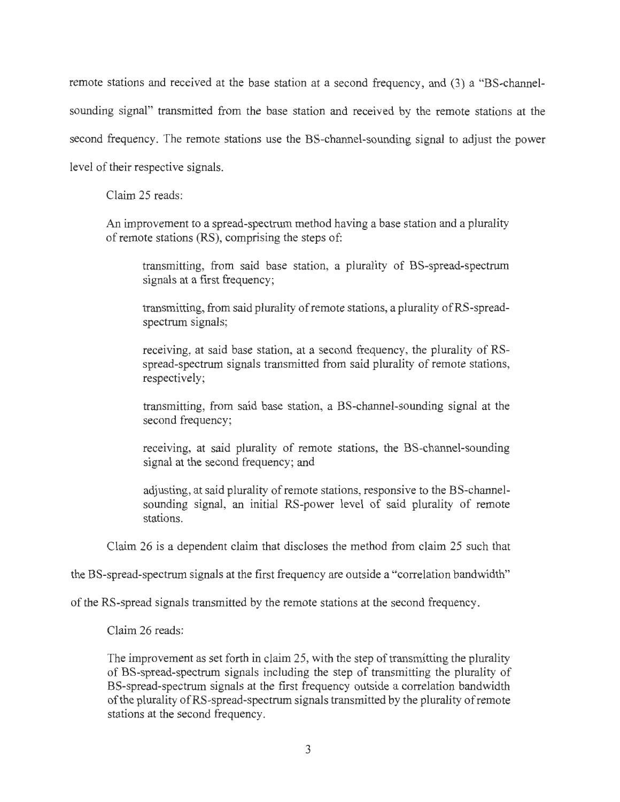remote stations and received at the base station at a second frequency, and (3) a "BS-channelsounding signal" transmitted from the base station and received by the remote stations at the second frequency. The remote stations use the BS-channel-sounding signal to adjust the power level of their respective signals.

Claim 25 reads:

An improvement to a spread-spectrum method having a base station and a plurality of remote stations (RS), comprising the steps of:

transmitting, from said base station, a plurality of BS-spread-spectrum signals at a first frequency;

transmitting, from said plurality of remote stations, a plurality of RS-spreadspectrum signals;

receiving, at said base station, at a second frequency, the plurality of RSspread-spectrum signals transmitted from said plurality of remote stations, respectively;

transmitting, from said base station, a BS-channel-sounding signal at the second frequency;

receiving, at said plurality of remote stations, the BS-channel-sounding signal at the second frequency; and

adjusting, at said plurality of remote stations, responsive to the BS-channelsounding signal, an initial RS-power level of said plurality of remote stations.

Claim 26 is a dependent claim that discloses the method from claim 25 such that

the BS-spread-spectrum signals at the first frequency are outside a "correlation bandwidth"

of the RS-spread signals transmitted by the remote stations at the second frequency.

Claim 26 reads:

The improvement as set forth in claim 25, with the step of transmitting the plurality of BS-spread-spectrum signals including the step of transmitting the plurality of BS-spread-spectrum signals at the first frequency outside a correlation bandwidth of the plurality of RS-spread-spectrum signals transmitted by the plurality ofremote stations at the second frequency.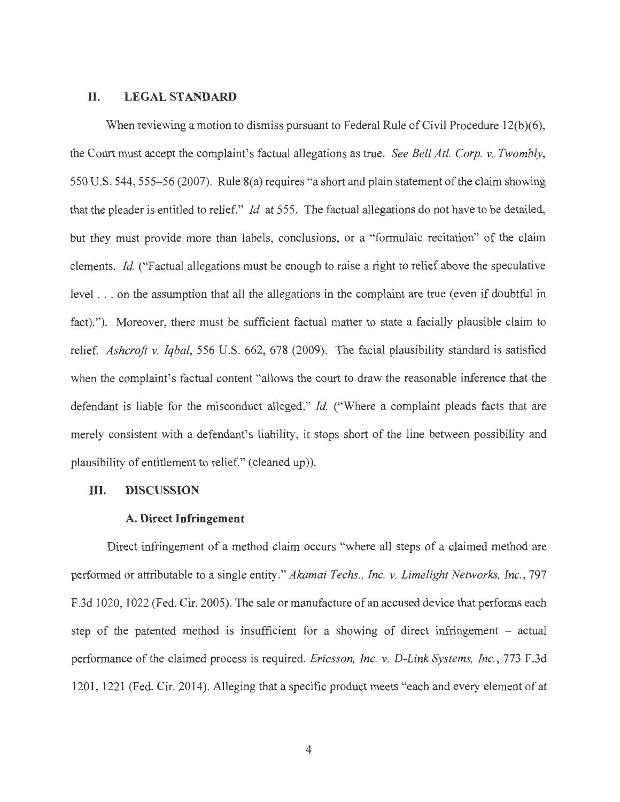### **II. LEGAL STANDARD**

When reviewing a motion to dismiss pursuant to Federal Rule of Civil Procedure  $12(b)(6)$ , the Court must accept the complaint's factual allegations as true. *See Bell Atl. Corp. v. Twombly,*  550 U.S. 544, 555-56 (2007). Rule 8(a) requires "a short and plain statement of the claim showing that the pleader is entitled to relief." *Id.* at 555. The factual allegations do not have to be detailed, but they must provide more than labels, conclusions, or a "formulaic recitation" of the claim elements. *Id.* ("Factual allegations must be enough to raise a right to relief above the speculative level . . . on the assumption that all the allegations in the complaint are true (even if doubtful in fact)."). Moreover, there must be sufficient factual matter to state a facially plausible claim to relief. *Ashcroft v. Iqbal,* 556 U.S. 662, 678 (2009). The facial plausibility standard is satisfied when the complaint's factual content "allows the court to draw the reasonable inference that the defendant is liable for the misconduct alleged." *Id.* ("Where a complaint pleads facts that are merely consistent with a defendant's liability, it stops short of the line between possibility and plausibility of entitlement to relief." ( cleaned up)).

#### **III. DISCUSSION**

#### **A. Direct Infringement**

Direct infringement of a method claim occurs "where all steps of a claimed method are performed or attributable to a single entity." *Akamai Techs., Inc. v. Limelight Networks, Inc. ,* 797 F.3d 1020, 1022 (Fed. Cir. 2005). The sale or manufacture of an accused device that performs each step of the patented method is insufficient for a showing of direct infringement – actual performance of the claimed process is required. *Ericsson, Inc. v. D-Link Systems, Inc. ,* 773 F .3d 1201 , 1221 (Fed. Cir. 2014). Alleging that a specific product meets "each and every element of at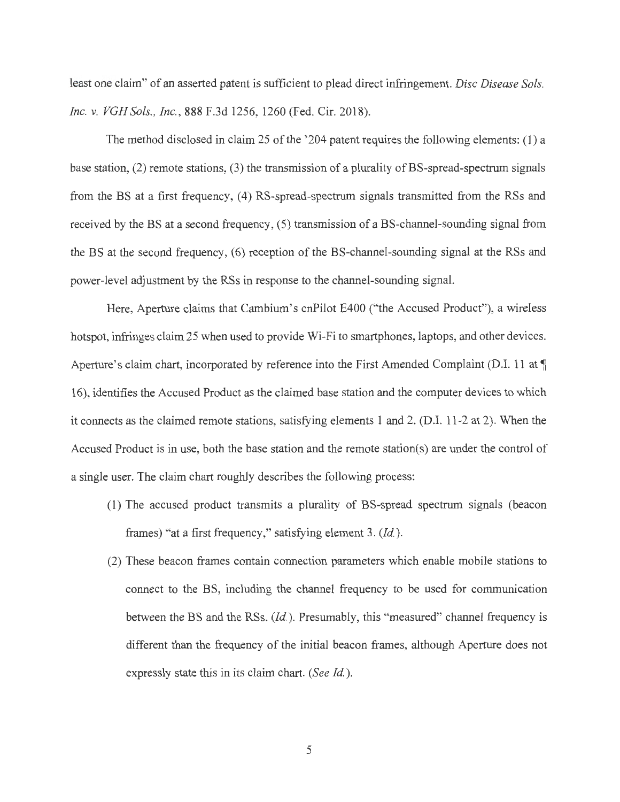least one claim" of an asserted patent is sufficient to plead direct infringement. *Disc Disease Sols. Inc. v. VGH Sols. , Inc.,* 888 F.3d 1256, 1260 (Fed. Cir. 2018).

The method disclosed in claim 25 of the '204 patent requires the following elements: (1) a base station, (2) remote stations, (3) the transmission of a plurality of BS-spread-spectrum signals from the BS at a first frequency, (4) RS-spread-spectrum signals transmitted from the RSs and received by the BS at a second frequency, (5) transmission of a BS-channel-sounding signal from the BS at the second frequency, (6) reception of the BS-channel-sounding signal at the RSs and power-level adjustment by the RSs in response to the channel-sounding signal.

Here, Aperture claims that Cambium's cnPilot E400 ("the Accused Product"), a wireless hotspot, infringes claim 25 when used to provide Wi-Fi to smartphones, laptops, and other devices. Aperture's claim chart, incorporated by reference into the First Amended Complaint (D.I. 11 at  $\P$ 16), identifies the Accused Product as the claimed base station and the computer devices to which it connects as the claimed remote stations, satisfying elements 1 and 2. (D.I. 11-2 at 2). When the Accused Product is in use, both the base station and the remote station(s) are under the control of a single user. The claim chart roughly describes the following process:

- (1) The accused product transmits a plurality of BS-spread spectrum signals (beacon frames) "at a first frequency," satisfying element 3. *(Id.).*
- (2) These beacon frames contain connection parameters which enable mobile stations to connect to the BS, including the channel frequency to be used for communication between the BS and the RSs. *(Id.).* Presumably, this "measured" channel frequency is different than the frequency of the initial beacon frames, although Aperture does not expressly state this in its claim chart. *(See Id.).*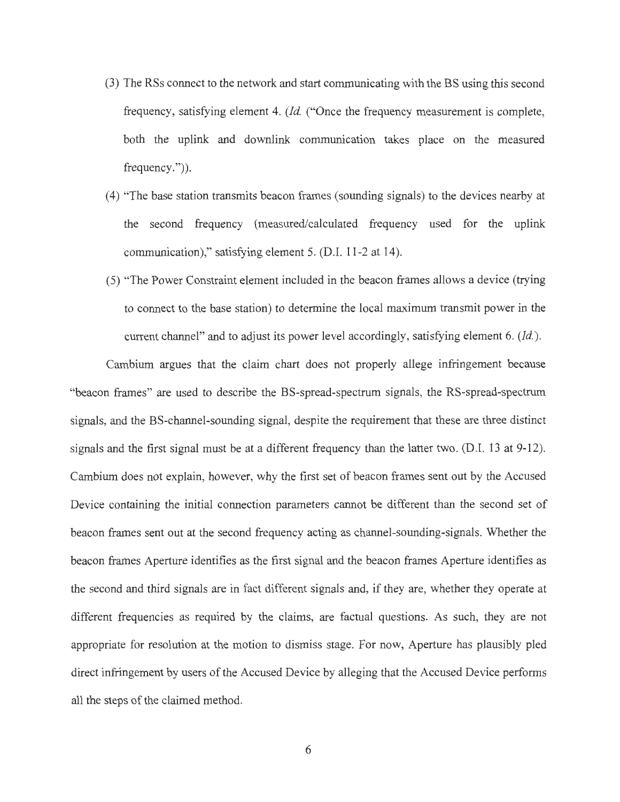- (3) The RSs connect to the network and start communicating with the BS using this second frequency, satisfying element 4. *(Id.* ("Once the frequency measurement is complete, both the uplink and downlink communication takes place on the measured frequency.")).
- (4) "The base station transmits beacon frames (sounding signals) to the devices nearby at the second frequency (measured/calculated frequency used for the uplink communication)," satisfying element 5. (D.I. 11-2 at 14).
- (5) "The Power Constraint element included in the beacon frames allows a device (trying to connect to the base station) to determine the local maximum transmit power in the current channel" and to adjust its power level accordingly, satisfying element 6. *(Id.).*

Cambium argues that the claim chart does not properly allege infringement because "beacon frames" are used to describe the BS-spread-spectrum signals, the RS-spread-spectrum signals, and the BS-channel-sounding signal, despite the requirement that these are three distinct signals and the first signal must be at a different frequency than the latter two. (D.I. 13 at 9-12). Cambium does not explain, however, why the first set of beacon frames sent out by the Accused Device containing the initial connection parameters cannot be different than the second set of beacon frames sent out at the second frequency acting as channel-sounding-signals. Whether the beacon frames Aperture identifies as the first signal and the beacon frames Aperture identifies as the second and third signals are in fact different signals and, if they are, whether they operate at different frequencies as required by the claims, are factual questions. As such, they are not appropriate for resolution at the motion to dismiss stage. For now, Aperture has plausibly pled direct infringement by users of the Accused Device by alleging that the Accused Device performs all the steps of the claimed method.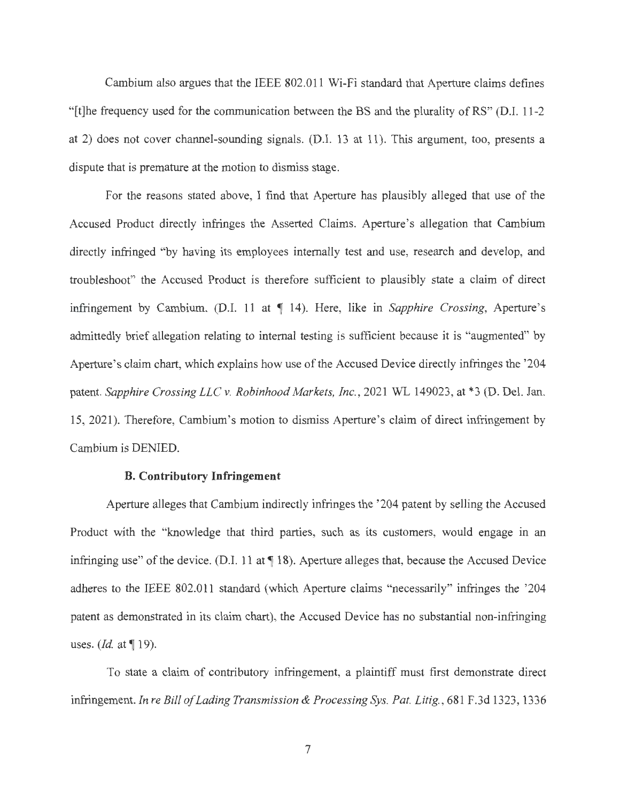Cambium also argues that the IEEE 802.011 Wi-Fi standard that Aperture claims defines "[t]he frequency used for the communication between the BS and the plurality of RS" (D.I. 11-2 at 2) does not cover channel-sounding signals. (D.I. 13 at 11). This argument, too, presents a dispute that is premature at the motion to dismiss stage.

For the reasons stated above, I find that Aperture has plausibly alleged that use of the Accused Product directly infringes the Asserted Claims. Aperture's allegation that Cambium directly infringed "by having its employees internally test and use, research and develop, and troubleshoot" the Accused Product is therefore sufficient to plausibly state a claim of direct infringement by Cambium. (D.I. 11 at 1 14). Here, like in *Sapphire Crossing*, Aperture's admittedly brief allegation relating to internal testing is sufficient because it is "augmented" by Aperture's claim chart, which explains how use of the Accused Device directly infringes the '204 patent. *Sapphire Crossing LLC v. Robinhood Markets, Inc.*, 2021 WL 149023, at \*3 (D. Del. Jan. 15, 2021). Therefore, Cambium's motion to dismiss Aperture's claim of direct infringement by Cambium is DENIED.

### **B. Contributory Infringement**

Aperture alleges that Cambium indirectly infringes the '204 patent by selling the Accused Product with the "knowledge that third parties, such as its customers, would engage in an infringing use" of the device. (D.I. 11 at **118).** Aperture alleges that, because the Accused Device adheres to the IEEE 802.011 standard (which Aperture claims "necessarily" infringes the '204 patent as demonstrated in its claim chart), the Accused Device has no substantial non-infringing uses.  $(Id.$  at  $\P$  19).

To state a claim of contributory infringement, a plaintiff must first demonstrate direct infringement. *In re Bill of Lading Transmission & Processing Sys. Pat. Litig. ,* 681 F.3d 1323, 1336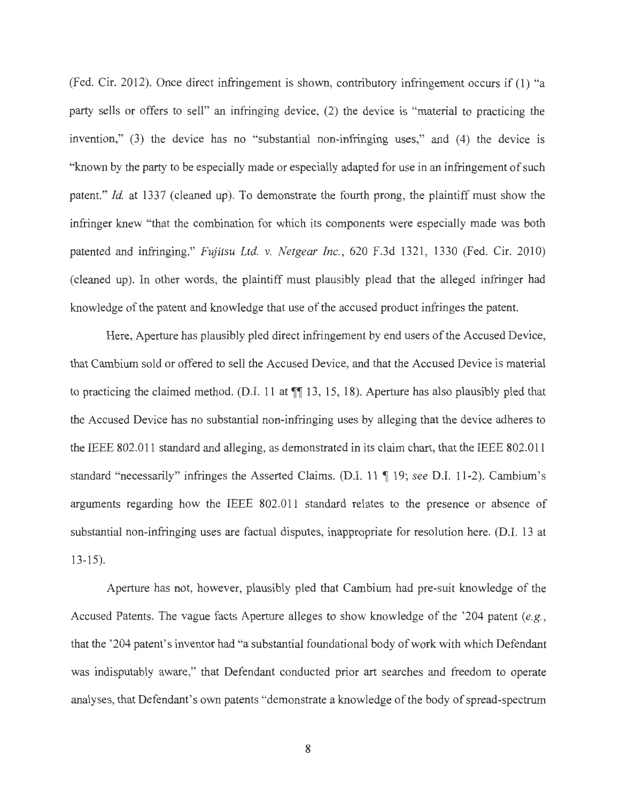(Fed. Cir. 2012). Once direct infringement is shown, contributory infringement occurs if (1) "a party sells or offers to sell" an infringing device, (2) the device is "material to practicing the invention," (3) the device has no "substantial non-infringing uses," and (4) the device is "known by the party to be especially made or especially adapted for use in an infringement of such patent." *Id.* at 1337 (cleaned up). To demonstrate the fourth prong, the plaintiff must show the infringer knew "that the combination for which its components were especially made was both patented and infringing." *Fujitsu Ltd. v. Netgear Inc.,* 620 F.3d 1321, 1330 (Fed. Cir. 2010) ( cleaned up). In other words, the plaintiff must plausibly plead that the alleged infringer had knowledge of the patent and knowledge that use of the accused product infringes the patent.

Here, Aperture has plausibly pled direct infringement by end users of the Accused Device, that Cambium sold or offered to sell the Accused Device, and that the Accused Device is material to practicing the claimed method. (D.I. 11 at  $\P$  13, 15, 18). Aperture has also plausibly pled that the Accused Device has no substantial non-infringing uses by alleging that the device adheres to the IEEE 802.011 standard and alleging, as demonstrated in its claim chart, that the IEEE 802.011 standard "necessarily" infringes the Asserted Claims. (D.I. 11 ¶ 19; *see D.I.* 11-2). Cambium's arguments regarding how the IEEE 802.011 standard relates to the presence or absence of substantial non-infringing uses are factual disputes, inappropriate for resolution here. (D.I. 13 at 13-15).

Aperture has not, however, plausibly pied that Cambium had pre-suit knowledge of the Accused Patents. The vague facts Aperture alleges to show knowledge of the '204 patent *(e.g.,*  that the '204 patent's inventor had "a substantial foundational body of work with which Defendant was indisputably aware," that Defendant conducted prior art searches and freedom to operate analyses, that Defendant's own patents "demonstrate a knowledge of the body of spread-spectrum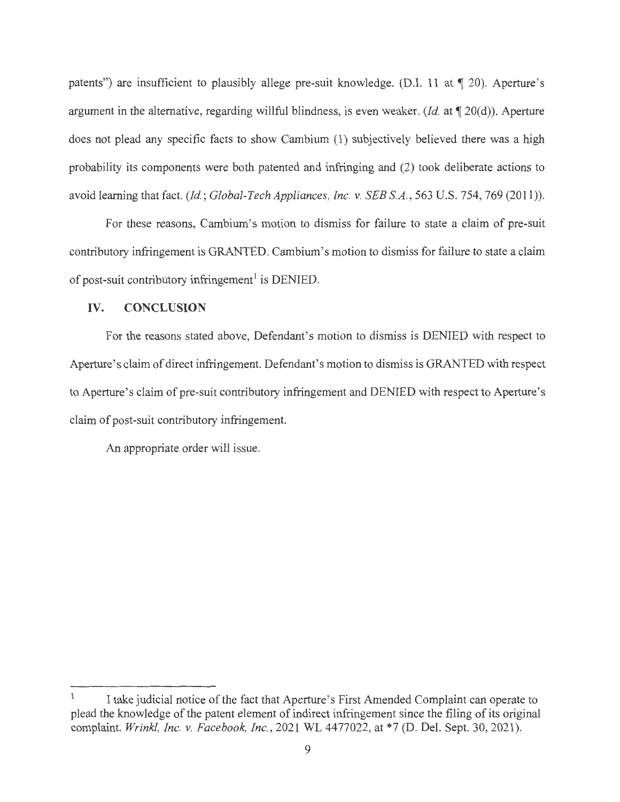patents") are insufficient to plausibly allege pre-suit knowledge. (D.I. 11 at 1 20). Aperture's argument in the alternative, regarding willful blindness, is even weaker.  $(Id.$  at  $\P$  20(d)). Aperture does not plead any specific facts to show Cambium (1) subjectively believed there was a high probability its components were both patented and infringing and (2) took deliberate actions to avoid learning that fact. *(Id; Global-Tech Appliances, Inc. v. SEES.A. ,* 563 U.S. 754, 769 (2011)).

For these reasons, Cambium's motion to dismiss for failure to state a claim of pre-suit contributory infringement is GRANTED. Cambium's motion to dismiss for failure to state a claim of post-suit contributory infringement<sup>1</sup> is DENIED.

## **IV. CONCLUSION**

For the reasons stated above, Defendant's motion to dismiss is DENIED with respect to Aperture's claim of direct infringement. Defendant's motion to dismiss is GRANTED with respect to Aperture's claim of pre-suit contributory infringement and DENIED with respect to Aperture's claim of post-suit contributory infringement.

An appropriate order will issue.

I take judicial notice of the fact that Aperture's First Amended Complaint can operate to plead the knowledge of the patent element of indirect infringement since the filing of its original complaint. *Wrinkl, Inc. v. Facebook, Inc.,* 2021 WL 4477022, at \*7 (D. Del. Sept. 30, 2021).